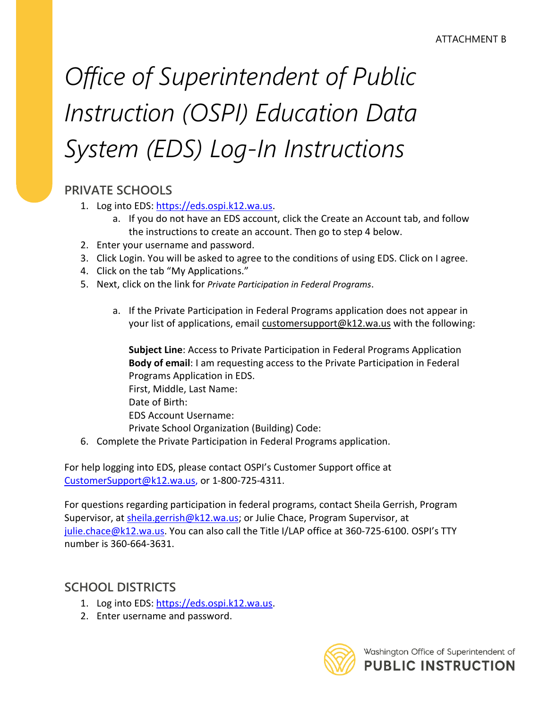## *Office of Superintendent of Public Instruction (OSPI) Education Data System (EDS) Log-In Instructions*

## **PRIVATE SCHOOLS**

- 1. Log into EDS: [https://eds.ospi.k12.wa.us.](https://eds.ospi.k12.wa.us/)
	- a. If you do not have an EDS account, click the Create an Account tab, and follow the instructions to create an account. Then go to step 4 below.
- 2. Enter your username and password.
- 3. Click Login. You will be asked to agree to the conditions of using EDS. Click on I agree.
- 4. Click on the tab "My Applications."
- 5. Next, click on the link for *Private Participation in Federal Programs*.
	- a. If the Private Participation in Federal Programs application does not appear in your list of applications, emai[l customersupport@k12.wa.us](mailto:customersupport@k12.wa.us) with the following:

**Subject Line**: Access to Private Participation in Federal Programs Application **Body of email**: I am requesting access to the Private Participation in Federal Programs Application in EDS. First, Middle, Last Name: Date of Birth: EDS Account Username: Private School Organization (Building) Code:

6. Complete the Private Participation in Federal Programs application.

For help logging into EDS, please contact OSPI's Customer Support office at [CustomerSupport@k12.wa.us,](mailto:CustomerSupport@k12.wa.us) or 1-800-725-4311.

For questions regarding participation in federal programs, contact Sheila Gerrish, Program Supervisor, at [sheila.gerrish@k12.wa.us;](mailto:sheila.gerrish@k12.wa.us) or Julie Chace, Program Supervisor, at [julie.chace@k12.wa.us.](mailto:julie.chace@k12.wa.us) You can also call the Title I/LAP office at 360-725-6100. OSPI's TTY number is 360-664-3631.

## **SCHOOL DISTRICTS**

- 1. Log into EDS: [https://eds.ospi.k12.wa.us.](https://eds.ospi.k12.wa.us/)
- 2. Enter username and password.